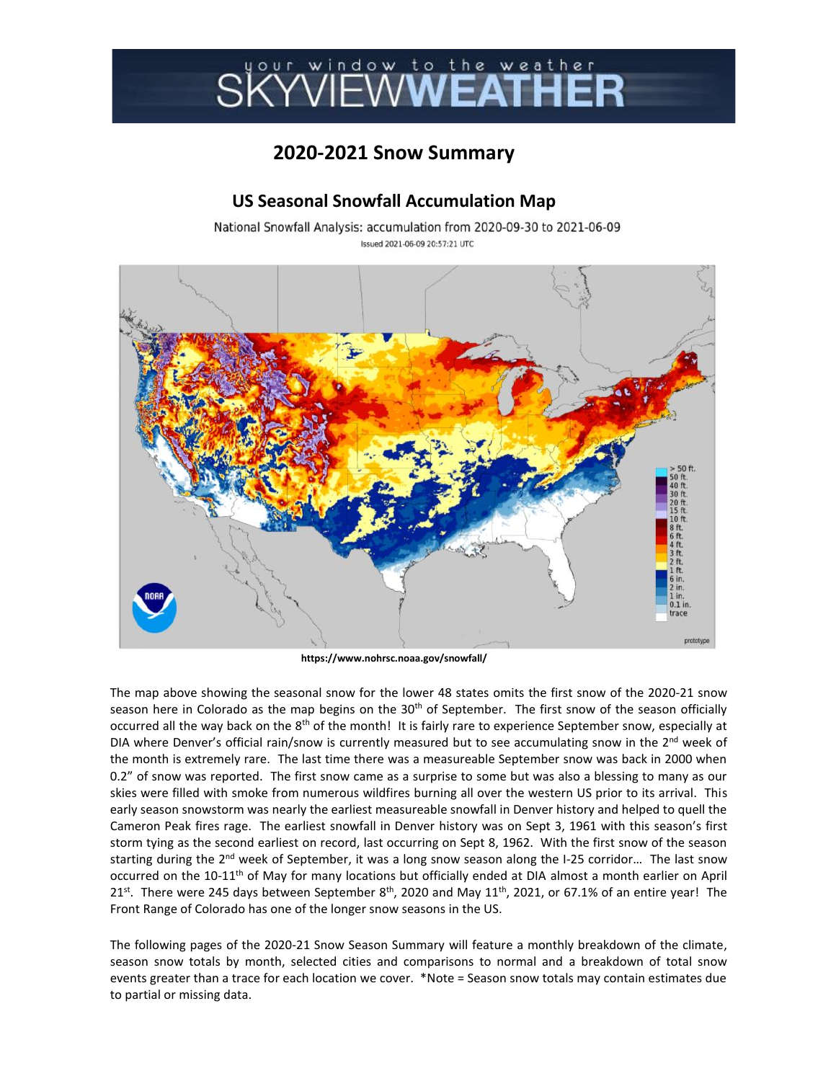## SKÝŇĔŴ**ŴĔAŤHĚ**

## **2020-2021 Snow Summary**

## **US Seasonal Snowfall Accumulation Map**

National Snowfall Analysis: accumulation from 2020-09-30 to 2021-06-09 Issued 2021-06-09 20:57:21 UTC



**https://www.nohrsc.noaa.gov/snowfall/**

The map above showing the seasonal snow for the lower 48 states omits the first snow of the 2020-21 snow season here in Colorado as the map begins on the  $30<sup>th</sup>$  of September. The first snow of the season officially occurred all the way back on the 8<sup>th</sup> of the month! It is fairly rare to experience September snow, especially at DIA where Denver's official rain/snow is currently measured but to see accumulating snow in the  $2^{nd}$  week of the month is extremely rare. The last time there was a measureable September snow was back in 2000 when 0.2" of snow was reported. The first snow came as a surprise to some but was also a blessing to many as our skies were filled with smoke from numerous wildfires burning all over the western US prior to its arrival. This early season snowstorm was nearly the earliest measureable snowfall in Denver history and helped to quell the Cameron Peak fires rage. The earliest snowfall in Denver history was on Sept 3, 1961 with this season's first storm tying as the second earliest on record, last occurring on Sept 8, 1962. With the first snow of the season starting during the 2<sup>nd</sup> week of September, it was a long snow season along the I-25 corridor... The last snow occurred on the 10-11th of May for many locations but officially ended at DIA almost a month earlier on April 21<sup>st</sup>. There were 245 days between September  $8<sup>th</sup>$ , 2020 and May 11<sup>th</sup>, 2021, or 67.1% of an entire year! The Front Range of Colorado has one of the longer snow seasons in the US.

The following pages of the 2020-21 Snow Season Summary will feature a monthly breakdown of the climate, season snow totals by month, selected cities and comparisons to normal and a breakdown of total snow events greater than a trace for each location we cover. \*Note = Season snow totals may contain estimates due to partial or missing data.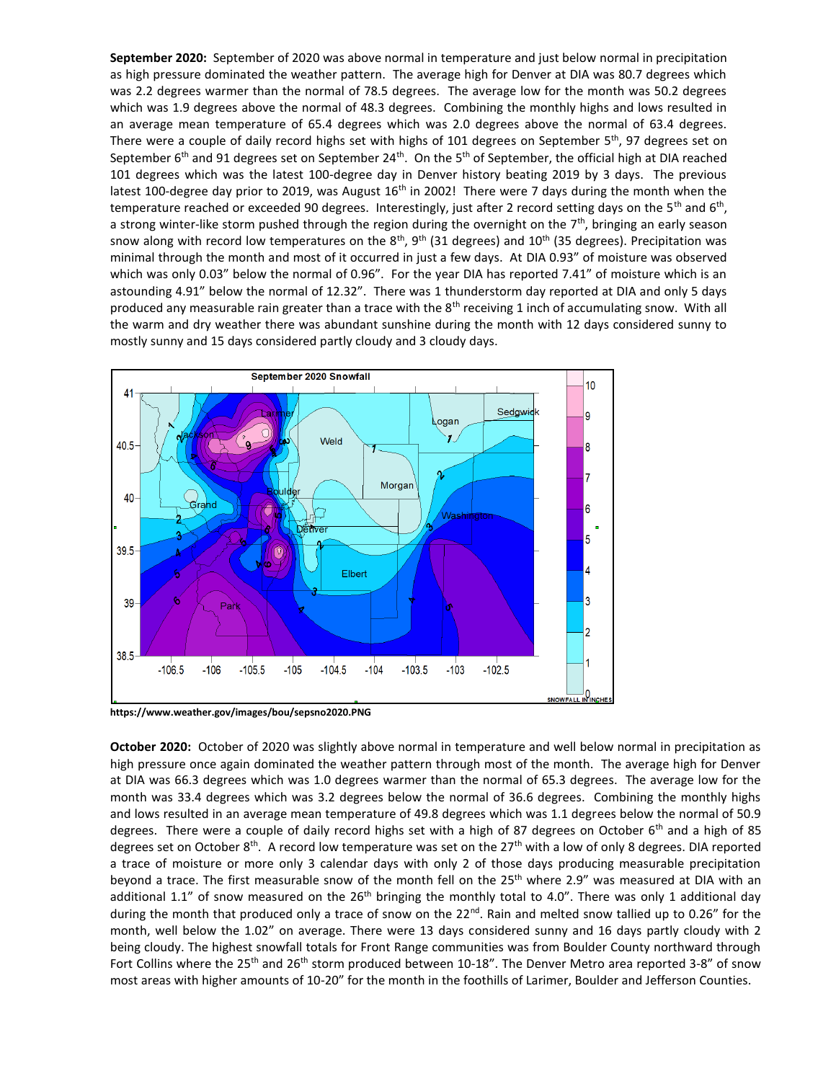**September 2020:** September of 2020 was above normal in temperature and just below normal in precipitation as high pressure dominated the weather pattern. The average high for Denver at DIA was 80.7 degrees which was 2.2 degrees warmer than the normal of 78.5 degrees. The average low for the month was 50.2 degrees which was 1.9 degrees above the normal of 48.3 degrees. Combining the monthly highs and lows resulted in an average mean temperature of 65.4 degrees which was 2.0 degrees above the normal of 63.4 degrees. There were a couple of daily record highs set with highs of 101 degrees on September  $5<sup>th</sup>$ , 97 degrees set on September  $6<sup>th</sup>$  and 91 degrees set on September 24<sup>th</sup>. On the 5<sup>th</sup> of September, the official high at DIA reached 101 degrees which was the latest 100-degree day in Denver history beating 2019 by 3 days. The previous latest 100-degree day prior to 2019, was August  $16<sup>th</sup>$  in 2002! There were 7 days during the month when the temperature reached or exceeded 90 degrees. Interestingly, just after 2 record setting days on the 5<sup>th</sup> and 6<sup>th</sup>, a strong winter-like storm pushed through the region during the overnight on the 7<sup>th</sup>, bringing an early season snow along with record low temperatures on the  $8^{th}$ ,  $9^{th}$  (31 degrees) and  $10^{th}$  (35 degrees). Precipitation was minimal through the month and most of it occurred in just a few days. At DIA 0.93" of moisture was observed which was only 0.03" below the normal of 0.96". For the year DIA has reported 7.41" of moisture which is an astounding 4.91" below the normal of 12.32". There was 1 thunderstorm day reported at DIA and only 5 days produced any measurable rain greater than a trace with the 8<sup>th</sup> receiving 1 inch of accumulating snow. With all the warm and dry weather there was abundant sunshine during the month with 12 days considered sunny to mostly sunny and 15 days considered partly cloudy and 3 cloudy days.



**https://www.weather.gov/images/bou/sepsno2020.PNG**

**October 2020:** October of 2020 was slightly above normal in temperature and well below normal in precipitation as high pressure once again dominated the weather pattern through most of the month. The average high for Denver at DIA was 66.3 degrees which was 1.0 degrees warmer than the normal of 65.3 degrees. The average low for the month was 33.4 degrees which was 3.2 degrees below the normal of 36.6 degrees. Combining the monthly highs and lows resulted in an average mean temperature of 49.8 degrees which was 1.1 degrees below the normal of 50.9 degrees. There were a couple of daily record highs set with a high of 87 degrees on October 6<sup>th</sup> and a high of 85 degrees set on October 8<sup>th</sup>. A record low temperature was set on the 27<sup>th</sup> with a low of only 8 degrees. DIA reported a trace of moisture or more only 3 calendar days with only 2 of those days producing measurable precipitation beyond a trace. The first measurable snow of the month fell on the 25<sup>th</sup> where 2.9" was measured at DIA with an additional 1.1" of snow measured on the 26<sup>th</sup> bringing the monthly total to 4.0". There was only 1 additional day during the month that produced only a trace of snow on the 22<sup>nd</sup>. Rain and melted snow tallied up to 0.26" for the month, well below the 1.02" on average. There were 13 days considered sunny and 16 days partly cloudy with 2 being cloudy. The highest snowfall totals for Front Range communities was from Boulder County northward through Fort Collins where the 25<sup>th</sup> and 26<sup>th</sup> storm produced between 10-18". The Denver Metro area reported 3-8" of snow most areas with higher amounts of 10-20" for the month in the foothills of Larimer, Boulder and Jefferson Counties.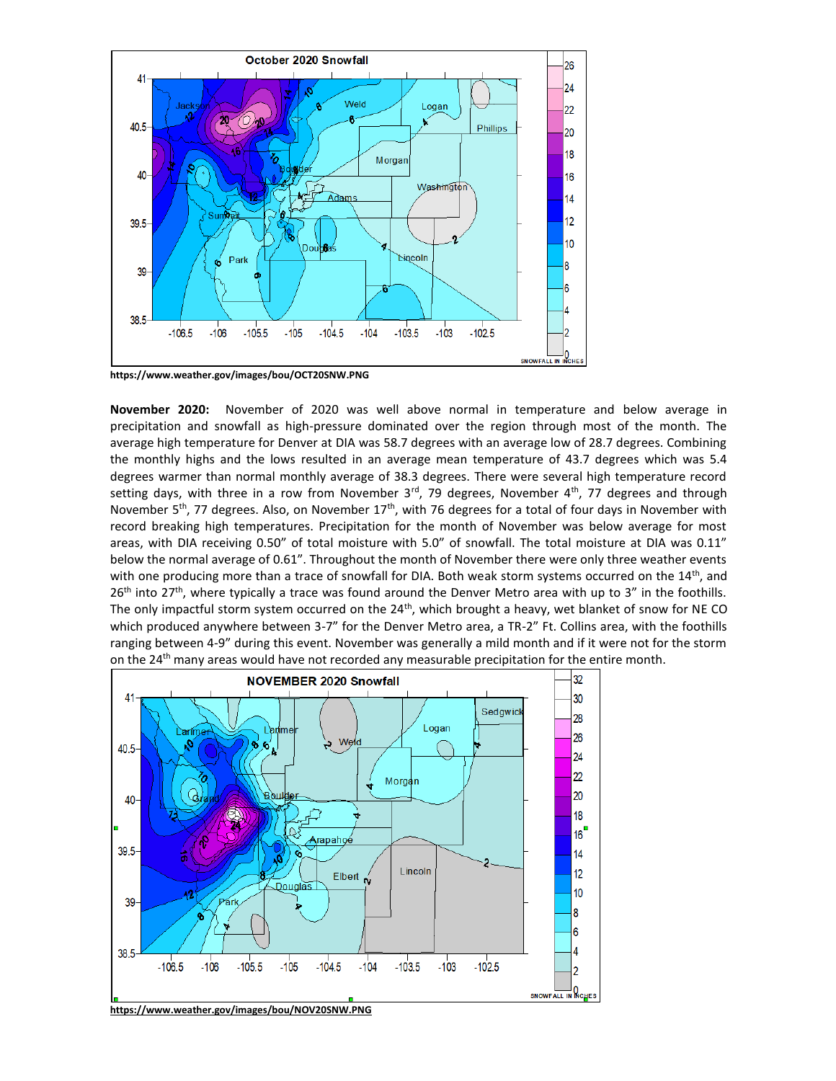

**https://www.weather.gov/images/bou/OCT20SNW.PNG**

**November 2020:** November of 2020 was well above normal in temperature and below average in precipitation and snowfall as high-pressure dominated over the region through most of the month. The average high temperature for Denver at DIA was 58.7 degrees with an average low of 28.7 degrees. Combining the monthly highs and the lows resulted in an average mean temperature of 43.7 degrees which was 5.4 degrees warmer than normal monthly average of 38.3 degrees. There were several high temperature record setting days, with three in a row from November 3<sup>rd</sup>, 79 degrees, November 4<sup>th</sup>, 77 degrees and through November 5<sup>th</sup>, 77 degrees. Also, on November  $17<sup>th</sup>$ , with 76 degrees for a total of four days in November with record breaking high temperatures. Precipitation for the month of November was below average for most areas, with DIA receiving 0.50" of total moisture with 5.0" of snowfall. The total moisture at DIA was 0.11" below the normal average of 0.61". Throughout the month of November there were only three weather events with one producing more than a trace of snowfall for DIA. Both weak storm systems occurred on the 14<sup>th</sup>, and 26<sup>th</sup> into 27<sup>th</sup>, where typically a trace was found around the Denver Metro area with up to 3" in the foothills. The only impactful storm system occurred on the  $24<sup>th</sup>$ , which brought a heavy, wet blanket of snow for NE CO which produced anywhere between 3-7" for the Denver Metro area, a TR-2" Ft. Collins area, with the foothills ranging between 4-9" during this event. November was generally a mild month and if it were not for the storm on the 24<sup>th</sup> many areas would have not recorded any measurable precipitation for the entire month.

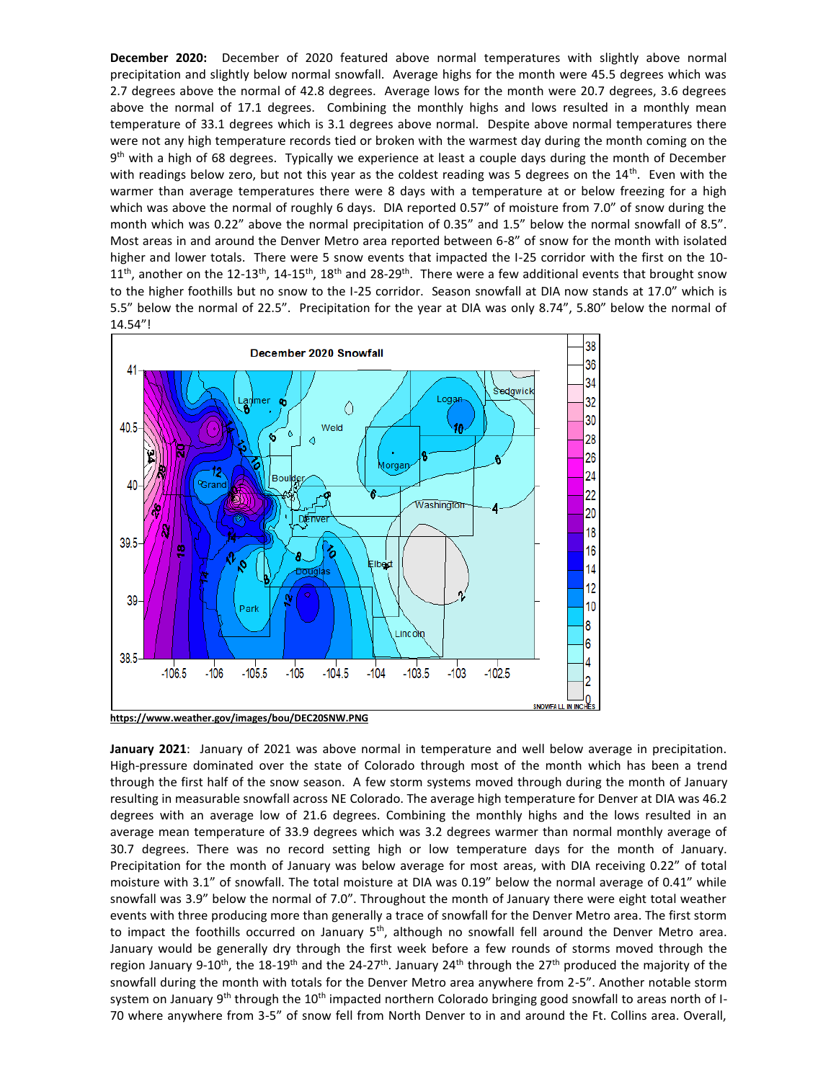**December 2020:** December of 2020 featured above normal temperatures with slightly above normal precipitation and slightly below normal snowfall. Average highs for the month were 45.5 degrees which was 2.7 degrees above the normal of 42.8 degrees. Average lows for the month were 20.7 degrees, 3.6 degrees above the normal of 17.1 degrees. Combining the monthly highs and lows resulted in a monthly mean temperature of 33.1 degrees which is 3.1 degrees above normal. Despite above normal temperatures there were not any high temperature records tied or broken with the warmest day during the month coming on the 9<sup>th</sup> with a high of 68 degrees. Typically we experience at least a couple days during the month of December with readings below zero, but not this year as the coldest reading was 5 degrees on the 14<sup>th</sup>. Even with the warmer than average temperatures there were 8 days with a temperature at or below freezing for a high which was above the normal of roughly 6 days. DIA reported 0.57" of moisture from 7.0" of snow during the month which was 0.22" above the normal precipitation of 0.35" and 1.5" below the normal snowfall of 8.5". Most areas in and around the Denver Metro area reported between 6-8" of snow for the month with isolated higher and lower totals. There were 5 snow events that impacted the I-25 corridor with the first on the 10-  $11^{th}$ , another on the 12-13<sup>th</sup>, 14-15<sup>th</sup>, 18<sup>th</sup> and 28-29<sup>th</sup>. There were a few additional events that brought snow to the higher foothills but no snow to the I-25 corridor. Season snowfall at DIA now stands at 17.0" which is 5.5" below the normal of 22.5". Precipitation for the year at DIA was only 8.74", 5.80" below the normal of 14.54"!



**January 2021**: January of 2021 was above normal in temperature and well below average in precipitation. High-pressure dominated over the state of Colorado through most of the month which has been a trend through the first half of the snow season. A few storm systems moved through during the month of January resulting in measurable snowfall across NE Colorado. The average high temperature for Denver at DIA was 46.2 degrees with an average low of 21.6 degrees. Combining the monthly highs and the lows resulted in an average mean temperature of 33.9 degrees which was 3.2 degrees warmer than normal monthly average of 30.7 degrees. There was no record setting high or low temperature days for the month of January. Precipitation for the month of January was below average for most areas, with DIA receiving 0.22" of total moisture with 3.1" of snowfall. The total moisture at DIA was 0.19" below the normal average of 0.41" while snowfall was 3.9" below the normal of 7.0". Throughout the month of January there were eight total weather events with three producing more than generally a trace of snowfall for the Denver Metro area. The first storm to impact the foothills occurred on January 5<sup>th</sup>, although no snowfall fell around the Denver Metro area. January would be generally dry through the first week before a few rounds of storms moved through the region January 9-10<sup>th</sup>, the 18-19<sup>th</sup> and the 24-27<sup>th</sup>. January 24<sup>th</sup> through the 27<sup>th</sup> produced the majority of the snowfall during the month with totals for the Denver Metro area anywhere from 2-5". Another notable storm system on January 9<sup>th</sup> through the 10<sup>th</sup> impacted northern Colorado bringing good snowfall to areas north of I-70 where anywhere from 3-5" of snow fell from North Denver to in and around the Ft. Collins area. Overall,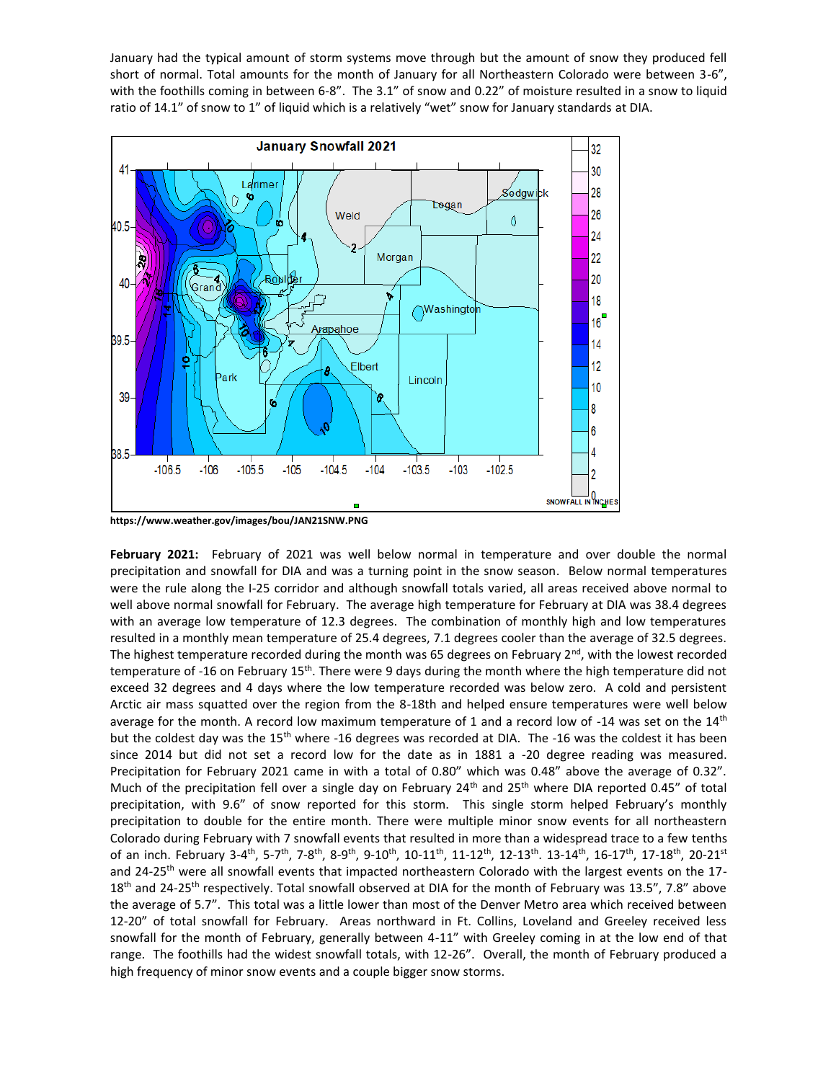January had the typical amount of storm systems move through but the amount of snow they produced fell short of normal. Total amounts for the month of January for all Northeastern Colorado were between 3-6", with the foothills coming in between 6-8". The 3.1" of snow and 0.22" of moisture resulted in a snow to liquid ratio of 14.1" of snow to 1" of liquid which is a relatively "wet" snow for January standards at DIA.



**https://www.weather.gov/images/bou/JAN21SNW.PNG**

**February 2021:** February of 2021 was well below normal in temperature and over double the normal precipitation and snowfall for DIA and was a turning point in the snow season. Below normal temperatures were the rule along the I-25 corridor and although snowfall totals varied, all areas received above normal to well above normal snowfall for February. The average high temperature for February at DIA was 38.4 degrees with an average low temperature of 12.3 degrees. The combination of monthly high and low temperatures resulted in a monthly mean temperature of 25.4 degrees, 7.1 degrees cooler than the average of 32.5 degrees. The highest temperature recorded during the month was 65 degrees on February  $2^{nd}$ , with the lowest recorded temperature of -16 on February 15<sup>th</sup>. There were 9 days during the month where the high temperature did not exceed 32 degrees and 4 days where the low temperature recorded was below zero. A cold and persistent Arctic air mass squatted over the region from the 8-18th and helped ensure temperatures were well below average for the month. A record low maximum temperature of 1 and a record low of -14 was set on the  $14<sup>th</sup>$ but the coldest day was the 15<sup>th</sup> where -16 degrees was recorded at DIA. The -16 was the coldest it has been since 2014 but did not set a record low for the date as in 1881 a -20 degree reading was measured. Precipitation for February 2021 came in with a total of 0.80" which was 0.48" above the average of 0.32". Much of the precipitation fell over a single day on February  $24<sup>th</sup>$  and  $25<sup>th</sup>$  where DIA reported 0.45" of total precipitation, with 9.6" of snow reported for this storm. This single storm helped February's monthly precipitation to double for the entire month. There were multiple minor snow events for all northeastern Colorado during February with 7 snowfall events that resulted in more than a widespread trace to a few tenths of an inch. February 3-4<sup>th</sup>, 5-7<sup>th</sup>, 7-8<sup>th</sup>, 8-9<sup>th</sup>, 9-10<sup>th</sup>, 10-11<sup>th</sup>, 11-12<sup>th</sup>, 12-13<sup>th</sup>. 13-14<sup>th</sup>, 16-17<sup>th</sup>, 17-18<sup>th</sup>, 20-21<sup>st</sup> and 24-25<sup>th</sup> were all snowfall events that impacted northeastern Colorado with the largest events on the 17-18<sup>th</sup> and 24-25<sup>th</sup> respectively. Total snowfall observed at DIA for the month of February was 13.5", 7.8" above the average of 5.7". This total was a little lower than most of the Denver Metro area which received between 12-20" of total snowfall for February. Areas northward in Ft. Collins, Loveland and Greeley received less snowfall for the month of February, generally between 4-11" with Greeley coming in at the low end of that range. The foothills had the widest snowfall totals, with 12-26". Overall, the month of February produced a high frequency of minor snow events and a couple bigger snow storms.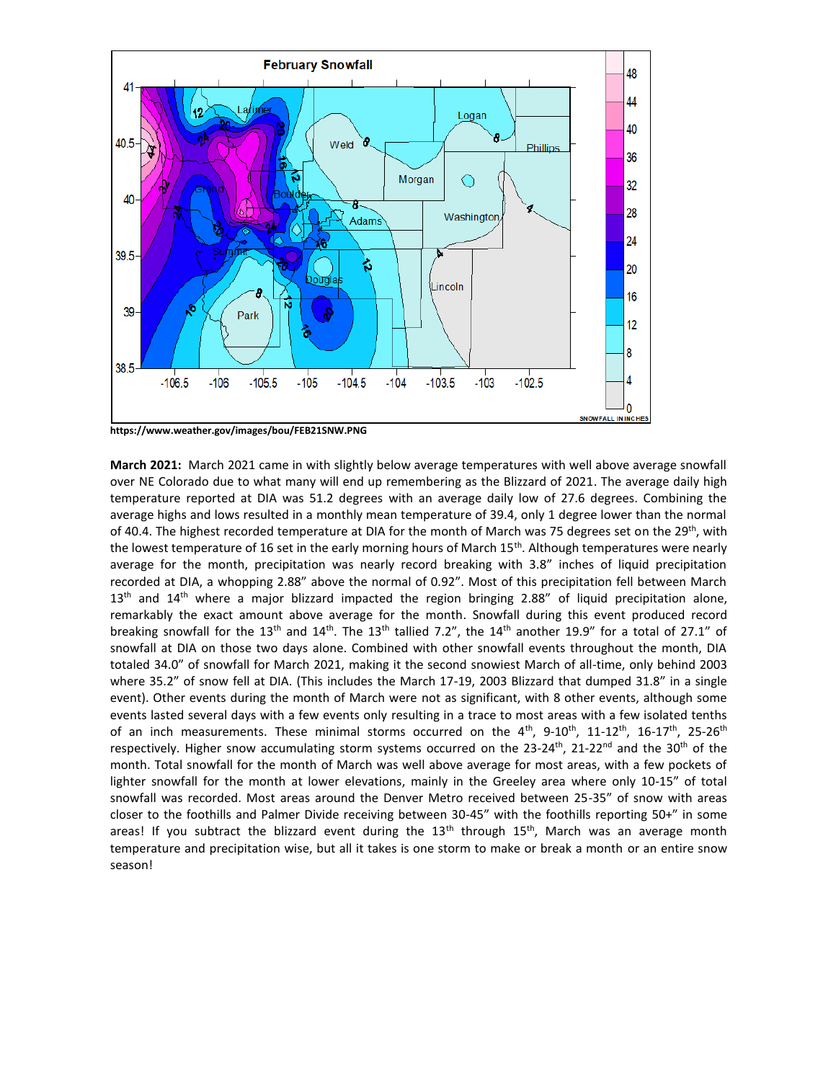

**https://www.weather.gov/images/bou/FEB21SNW.PNG**

**March 2021:** March 2021 came in with slightly below average temperatures with well above average snowfall over NE Colorado due to what many will end up remembering as the Blizzard of 2021. The average daily high temperature reported at DIA was 51.2 degrees with an average daily low of 27.6 degrees. Combining the average highs and lows resulted in a monthly mean temperature of 39.4, only 1 degree lower than the normal of 40.4. The highest recorded temperature at DIA for the month of March was 75 degrees set on the 29<sup>th</sup>, with the lowest temperature of 16 set in the early morning hours of March 15<sup>th</sup>. Although temperatures were nearly average for the month, precipitation was nearly record breaking with 3.8" inches of liquid precipitation recorded at DIA, a whopping 2.88" above the normal of 0.92". Most of this precipitation fell between March  $13<sup>th</sup>$  and  $14<sup>th</sup>$  where a major blizzard impacted the region bringing 2.88" of liquid precipitation alone, remarkably the exact amount above average for the month. Snowfall during this event produced record breaking snowfall for the 13<sup>th</sup> and 14<sup>th</sup>. The 13<sup>th</sup> tallied 7.2", the 14<sup>th</sup> another 19.9" for a total of 27.1" of snowfall at DIA on those two days alone. Combined with other snowfall events throughout the month, DIA totaled 34.0" of snowfall for March 2021, making it the second snowiest March of all-time, only behind 2003 where 35.2" of snow fell at DIA. (This includes the March 17-19, 2003 Blizzard that dumped 31.8" in a single event). Other events during the month of March were not as significant, with 8 other events, although some events lasted several days with a few events only resulting in a trace to most areas with a few isolated tenths of an inch measurements. These minimal storms occurred on the  $4^{\text{th}}$ , 9-10<sup>th</sup>, 11-12<sup>th</sup>, 16-17<sup>th</sup>, 25-26<sup>th</sup> respectively. Higher snow accumulating storm systems occurred on the 23-24<sup>th</sup>, 21-22<sup>nd</sup> and the 30<sup>th</sup> of the month. Total snowfall for the month of March was well above average for most areas, with a few pockets of lighter snowfall for the month at lower elevations, mainly in the Greeley area where only 10-15" of total snowfall was recorded. Most areas around the Denver Metro received between 25-35" of snow with areas closer to the foothills and Palmer Divide receiving between 30-45" with the foothills reporting 50+" in some areas! If you subtract the blizzard event during the  $13<sup>th</sup>$  through  $15<sup>th</sup>$ , March was an average month temperature and precipitation wise, but all it takes is one storm to make or break a month or an entire snow season!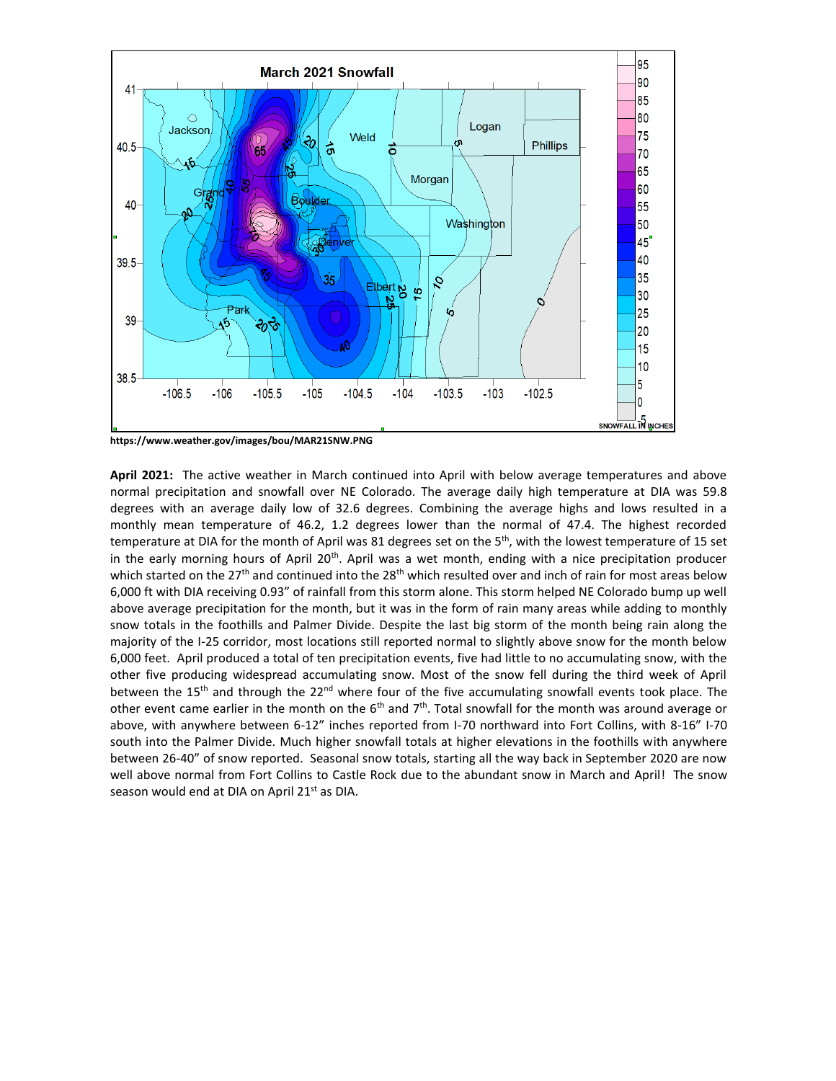

**https://www.weather.gov/images/bou/MAR21SNW.PNG**

**April 2021:** The active weather in March continued into April with below average temperatures and above normal precipitation and snowfall over NE Colorado. The average daily high temperature at DIA was 59.8 degrees with an average daily low of 32.6 degrees. Combining the average highs and lows resulted in a monthly mean temperature of 46.2, 1.2 degrees lower than the normal of 47.4. The highest recorded temperature at DIA for the month of April was 81 degrees set on the 5<sup>th</sup>, with the lowest temperature of 15 set in the early morning hours of April  $20<sup>th</sup>$ . April was a wet month, ending with a nice precipitation producer which started on the 27<sup>th</sup> and continued into the 28<sup>th</sup> which resulted over and inch of rain for most areas below 6,000 ft with DIA receiving 0.93" of rainfall from this storm alone. This storm helped NE Colorado bump up well above average precipitation for the month, but it was in the form of rain many areas while adding to monthly snow totals in the foothills and Palmer Divide. Despite the last big storm of the month being rain along the majority of the I-25 corridor, most locations still reported normal to slightly above snow for the month below 6,000 feet. April produced a total of ten precipitation events, five had little to no accumulating snow, with the other five producing widespread accumulating snow. Most of the snow fell during the third week of April between the 15<sup>th</sup> and through the 22<sup>nd</sup> where four of the five accumulating snowfall events took place. The other event came earlier in the month on the  $6<sup>th</sup>$  and  $7<sup>th</sup>$ . Total snowfall for the month was around average or above, with anywhere between 6-12" inches reported from I-70 northward into Fort Collins, with 8-16" I-70 south into the Palmer Divide. Much higher snowfall totals at higher elevations in the foothills with anywhere between 26-40" of snow reported. Seasonal snow totals, starting all the way back in September 2020 are now well above normal from Fort Collins to Castle Rock due to the abundant snow in March and April! The snow season would end at DIA on April 21<sup>st</sup> as DIA.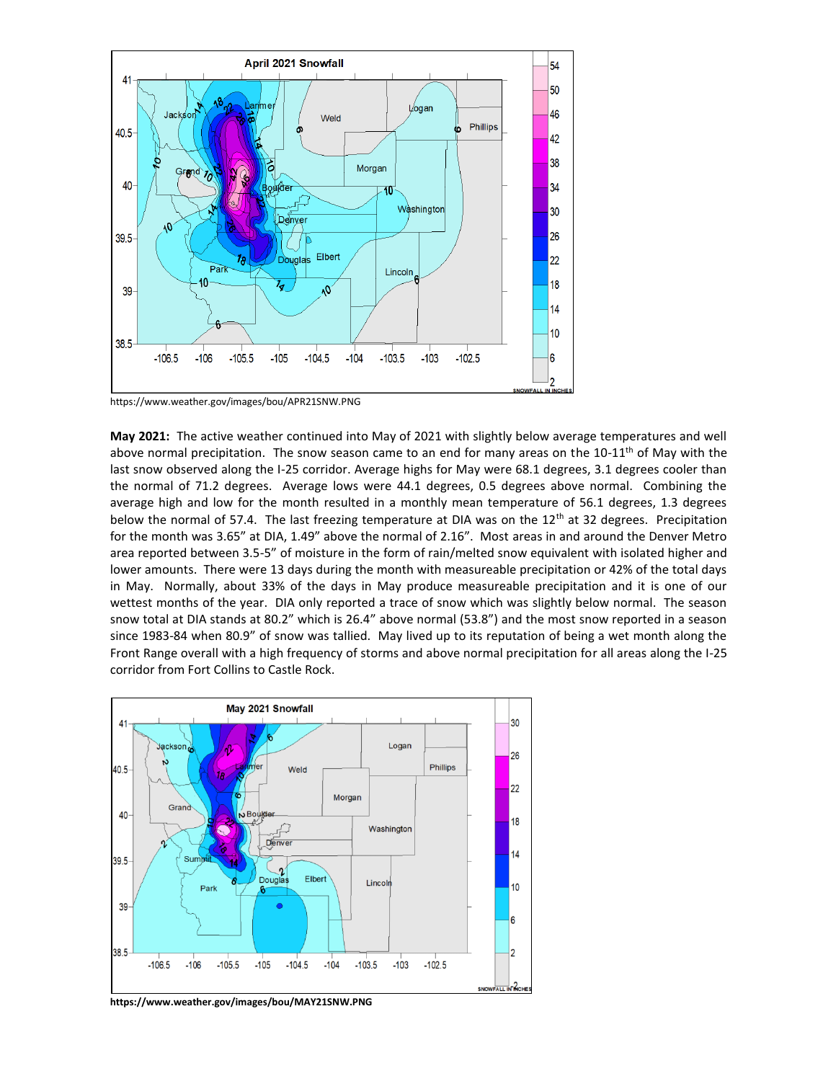

https://www.weather.gov/images/bou/APR21SNW.PNG

**May 2021:** The active weather continued into May of 2021 with slightly below average temperatures and well above normal precipitation. The snow season came to an end for many areas on the  $10-11^{\text{th}}$  of May with the last snow observed along the I-25 corridor. Average highs for May were 68.1 degrees, 3.1 degrees cooler than the normal of 71.2 degrees. Average lows were 44.1 degrees, 0.5 degrees above normal. Combining the average high and low for the month resulted in a monthly mean temperature of 56.1 degrees, 1.3 degrees below the normal of 57.4. The last freezing temperature at DIA was on the  $12<sup>th</sup>$  at 32 degrees. Precipitation for the month was 3.65" at DIA, 1.49" above the normal of 2.16". Most areas in and around the Denver Metro area reported between 3.5-5" of moisture in the form of rain/melted snow equivalent with isolated higher and lower amounts. There were 13 days during the month with measureable precipitation or 42% of the total days in May. Normally, about 33% of the days in May produce measureable precipitation and it is one of our wettest months of the year. DIA only reported a trace of snow which was slightly below normal. The season snow total at DIA stands at 80.2" which is 26.4" above normal (53.8") and the most snow reported in a season since 1983-84 when 80.9" of snow was tallied. May lived up to its reputation of being a wet month along the Front Range overall with a high frequency of storms and above normal precipitation for all areas along the I-25 corridor from Fort Collins to Castle Rock.



**https://www.weather.gov/images/bou/MAY21SNW.PNG**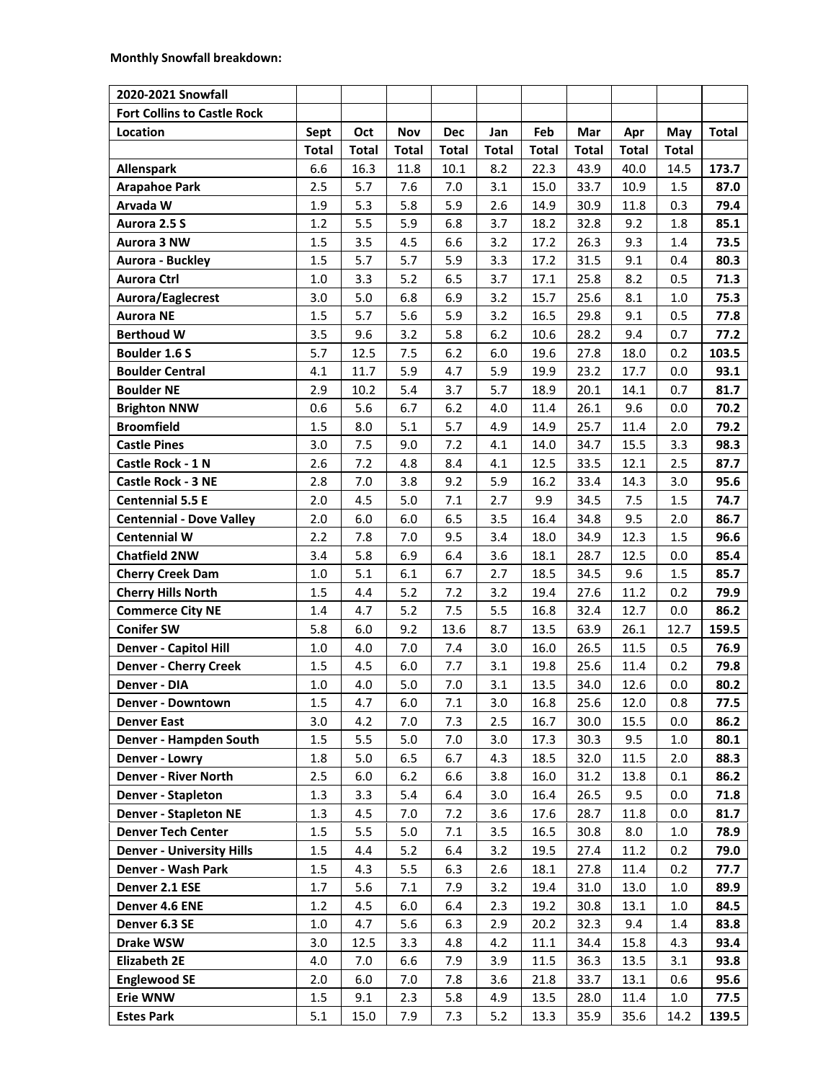| 2020-2021 Snowfall                 |              |              |              |              |              |              |              |              |              |              |
|------------------------------------|--------------|--------------|--------------|--------------|--------------|--------------|--------------|--------------|--------------|--------------|
| <b>Fort Collins to Castle Rock</b> |              |              |              |              |              |              |              |              |              |              |
| Location                           | Sept         | Oct          | Nov          | <b>Dec</b>   | Jan          | Feb          | Mar          | Apr          | May          | <b>Total</b> |
|                                    | <b>Total</b> | <b>Total</b> | <b>Total</b> | <b>Total</b> | <b>Total</b> | <b>Total</b> | <b>Total</b> | <b>Total</b> | <b>Total</b> |              |
| Allenspark                         | 6.6          | 16.3         | 11.8         | 10.1         | 8.2          | 22.3         | 43.9         | 40.0         | 14.5         | 173.7        |
| <b>Arapahoe Park</b>               | 2.5          | 5.7          | 7.6          | 7.0          | 3.1          | 15.0         | 33.7         | 10.9         | 1.5          | 87.0         |
| Arvada W                           | 1.9          | 5.3          | 5.8          | 5.9          | 2.6          | 14.9         | 30.9         | 11.8         | 0.3          | 79.4         |
| Aurora 2.5 S                       | 1.2          | 5.5          | 5.9          | 6.8          | 3.7          | 18.2         | 32.8         | 9.2          | 1.8          | 85.1         |
| Aurora 3 NW                        | 1.5          | 3.5          | 4.5          | 6.6          | 3.2          | 17.2         | 26.3         | 9.3          | 1.4          | 73.5         |
| Aurora - Buckley                   | 1.5          | 5.7          | 5.7          | 5.9          | 3.3          | 17.2         | 31.5         | 9.1          | 0.4          | 80.3         |
| <b>Aurora Ctrl</b>                 | 1.0          | 3.3          | 5.2          | 6.5          | 3.7          | 17.1         | 25.8         | 8.2          | 0.5          | 71.3         |
| Aurora/Eaglecrest                  | 3.0          | 5.0          | 6.8          | 6.9          | 3.2          | 15.7         | 25.6         | 8.1          | 1.0          | 75.3         |
| <b>Aurora NE</b>                   | 1.5          | 5.7          | 5.6          | 5.9          | 3.2          | 16.5         | 29.8         | 9.1          | 0.5          | 77.8         |
| <b>Berthoud W</b>                  | 3.5          | 9.6          | 3.2          | 5.8          | 6.2          | 10.6         | 28.2         | 9.4          | 0.7          | 77.2         |
| <b>Boulder 1.6 S</b>               | 5.7          | 12.5         | 7.5          | 6.2          | 6.0          | 19.6         | 27.8         | 18.0         | 0.2          | 103.5        |
| <b>Boulder Central</b>             | 4.1          | 11.7         | 5.9          | 4.7          | 5.9          | 19.9         | 23.2         | 17.7         | 0.0          | 93.1         |
| <b>Boulder NE</b>                  | 2.9          | 10.2         | 5.4          | 3.7          | 5.7          | 18.9         | 20.1         | 14.1         | 0.7          | 81.7         |
| <b>Brighton NNW</b>                | 0.6          | 5.6          | 6.7          | 6.2          | 4.0          | 11.4         | 26.1         | 9.6          | 0.0          | 70.2         |
| <b>Broomfield</b>                  | 1.5          | 8.0          | 5.1          | 5.7          | 4.9          | 14.9         | 25.7         | 11.4         | 2.0          | 79.2         |
| <b>Castle Pines</b>                | 3.0          | 7.5          | 9.0          | 7.2          | 4.1          | 14.0         | 34.7         | 15.5         | 3.3          | 98.3         |
| Castle Rock - 1 N                  | 2.6          | 7.2          | 4.8          | 8.4          | 4.1          | 12.5         | 33.5         | 12.1         | 2.5          | 87.7         |
| Castle Rock - 3 NE                 | 2.8          | 7.0          | 3.8          | 9.2          | 5.9          | 16.2         | 33.4         | 14.3         | 3.0          | 95.6         |
| <b>Centennial 5.5 E</b>            | 2.0          | 4.5          | 5.0          | 7.1          | 2.7          | 9.9          | 34.5         | 7.5          | 1.5          | 74.7         |
| <b>Centennial - Dove Valley</b>    | 2.0          | 6.0          | 6.0          | 6.5          | 3.5          | 16.4         | 34.8         | 9.5          | 2.0          | 86.7         |
| <b>Centennial W</b>                | 2.2          | 7.8          | 7.0          | 9.5          | 3.4          | 18.0         | 34.9         | 12.3         | 1.5          | 96.6         |
| <b>Chatfield 2NW</b>               | 3.4          | 5.8          | 6.9          | 6.4          | 3.6          | 18.1         | 28.7         | 12.5         | 0.0          | 85.4         |
| <b>Cherry Creek Dam</b>            | 1.0          | 5.1          | 6.1          | 6.7          | 2.7          | 18.5         | 34.5         | 9.6          | 1.5          | 85.7         |
| <b>Cherry Hills North</b>          | 1.5          | 4.4          | 5.2          | 7.2          | 3.2          | 19.4         | 27.6         | 11.2         | 0.2          | 79.9         |
| <b>Commerce City NE</b>            | 1.4          | 4.7          | 5.2          | 7.5          | 5.5          | 16.8         | 32.4         | 12.7         | 0.0          | 86.2         |
| <b>Conifer SW</b>                  | 5.8          | 6.0          | 9.2          | 13.6         | 8.7          | 13.5         | 63.9         | 26.1         | 12.7         | 159.5        |
| <b>Denver - Capitol Hill</b>       | 1.0          | 4.0          | 7.0          | 7.4          | 3.0          | 16.0         | 26.5         | 11.5         | 0.5          | 76.9         |
| <b>Denver - Cherry Creek</b>       | 1.5          | 4.5          | 6.0          | 7.7          | 3.1          | 19.8         | 25.6         | 11.4         | 0.2          | 79.8         |
| Denver - DIA                       | 1.0          | 4.0          | 5.0          | 7.0          | 3.1          | 13.5         | 34.0         | 12.6         | 0.0          | 80.2         |
| <b>Denver - Downtown</b>           | 1.5          | 4.7          | $6.0\,$      | 7.1          | 3.0          | 16.8         | 25.6         | 12.0         | 0.8          | 77.5         |
| <b>Denver East</b>                 | 3.0          | 4.2          | 7.0          | 7.3          | 2.5          | 16.7         | 30.0         | 15.5         | 0.0          | 86.2         |
| Denver - Hampden South             | 1.5          | 5.5          | 5.0          | 7.0          | 3.0          | 17.3         | 30.3         | 9.5          | 1.0          | 80.1         |
| Denver - Lowry                     | 1.8          | 5.0          | 6.5          | 6.7          | 4.3          | 18.5         | 32.0         | 11.5         | 2.0          | 88.3         |
| <b>Denver - River North</b>        | 2.5          | 6.0          | $6.2$        | 6.6          | 3.8          | 16.0         | 31.2         | 13.8         | 0.1          | 86.2         |
| <b>Denver - Stapleton</b>          | 1.3          | 3.3          | 5.4          | 6.4          | 3.0          | 16.4         | 26.5         | 9.5          | 0.0          | 71.8         |
| <b>Denver - Stapleton NE</b>       | 1.3          | 4.5          | 7.0          | 7.2          | 3.6          | 17.6         | 28.7         | 11.8         | 0.0          | 81.7         |
| <b>Denver Tech Center</b>          | 1.5          | 5.5          | 5.0          | 7.1          | 3.5          | 16.5         | 30.8         | 8.0          | 1.0          | 78.9         |
| <b>Denver - University Hills</b>   | 1.5          | 4.4          | 5.2          | 6.4          | 3.2          | 19.5         | 27.4         | 11.2         | 0.2          | 79.0         |
| Denver - Wash Park                 | 1.5          | 4.3          | 5.5          | 6.3          | 2.6          | 18.1         | 27.8         | 11.4         | 0.2          | 77.7         |
| Denver 2.1 ESE                     | 1.7          | 5.6          | 7.1          | 7.9          | 3.2          | 19.4         | 31.0         | 13.0         | 1.0          | 89.9         |
| Denver 4.6 ENE                     | 1.2          | 4.5          | 6.0          | 6.4          | 2.3          | 19.2         | 30.8         | 13.1         | 1.0          | 84.5         |
| Denver 6.3 SE                      | 1.0          | 4.7          | 5.6          | 6.3          | 2.9          | 20.2         | 32.3         | 9.4          | 1.4          | 83.8         |
| Drake WSW                          | 3.0          | 12.5         | 3.3          | 4.8          | 4.2          | 11.1         | 34.4         | 15.8         | 4.3          | 93.4         |
| <b>Elizabeth 2E</b>                | 4.0          | 7.0          | 6.6          | 7.9          | 3.9          | 11.5         | 36.3         | 13.5         | 3.1          | 93.8         |
| <b>Englewood SE</b>                | 2.0          | 6.0          | 7.0          | 7.8          | 3.6          | 21.8         | 33.7         | 13.1         | 0.6          | 95.6         |
| <b>Erie WNW</b>                    | 1.5          | 9.1          | 2.3          | 5.8          | 4.9          | 13.5         | 28.0         | 11.4         | 1.0          | 77.5         |
| <b>Estes Park</b>                  | 5.1          | 15.0         | 7.9          | 7.3          | $5.2$        | 13.3         | 35.9         | 35.6         | 14.2         | 139.5        |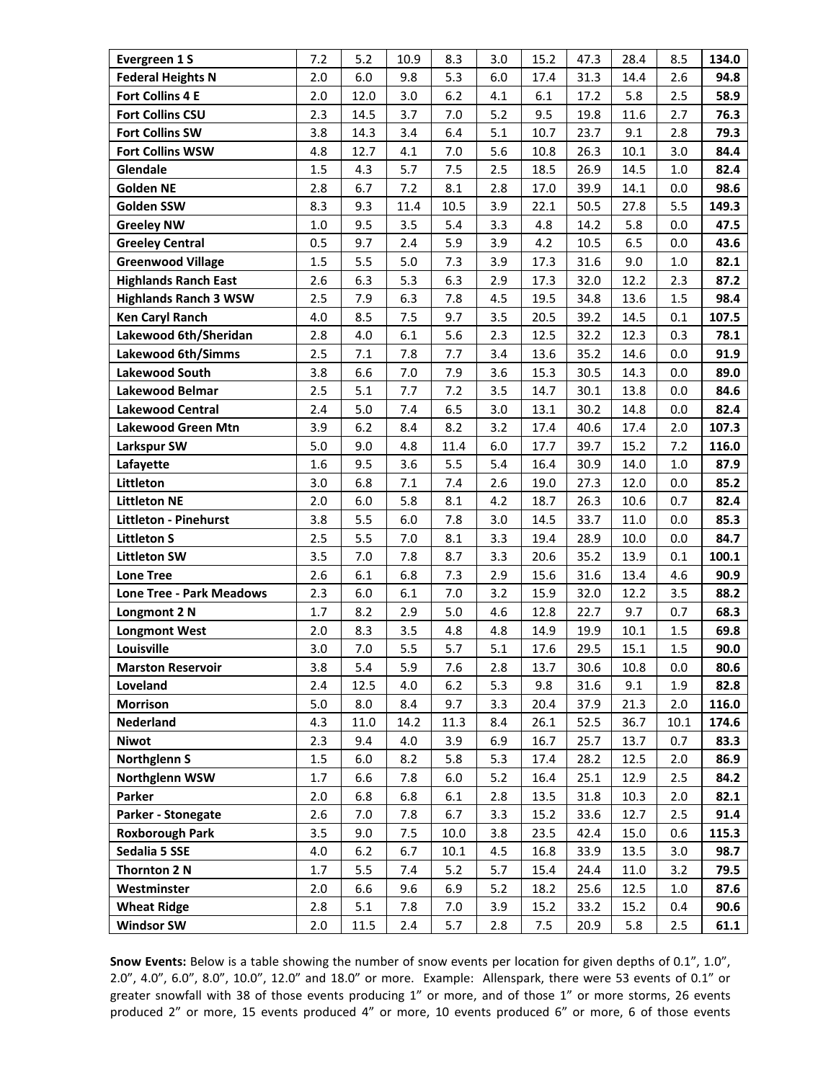| Evergreen 1 S                   | 7.2   | 5.2  | 10.9 | 8.3  | 3.0 | 15.2 | 47.3 | 28.4 | 8.5     | 134.0 |
|---------------------------------|-------|------|------|------|-----|------|------|------|---------|-------|
| <b>Federal Heights N</b>        | 2.0   | 6.0  | 9.8  | 5.3  | 6.0 | 17.4 | 31.3 | 14.4 | 2.6     | 94.8  |
| <b>Fort Collins 4 E</b>         | 2.0   | 12.0 | 3.0  | 6.2  | 4.1 | 6.1  | 17.2 | 5.8  | 2.5     | 58.9  |
| <b>Fort Collins CSU</b>         | 2.3   | 14.5 | 3.7  | 7.0  | 5.2 | 9.5  | 19.8 | 11.6 | 2.7     | 76.3  |
| <b>Fort Collins SW</b>          | 3.8   | 14.3 | 3.4  | 6.4  | 5.1 | 10.7 | 23.7 | 9.1  | 2.8     | 79.3  |
| <b>Fort Collins WSW</b>         | 4.8   | 12.7 | 4.1  | 7.0  | 5.6 | 10.8 | 26.3 | 10.1 | 3.0     | 84.4  |
| Glendale                        | 1.5   | 4.3  | 5.7  | 7.5  | 2.5 | 18.5 | 26.9 | 14.5 | $1.0\,$ | 82.4  |
| <b>Golden NE</b>                | 2.8   | 6.7  | 7.2  | 8.1  | 2.8 | 17.0 | 39.9 | 14.1 | 0.0     | 98.6  |
| Golden SSW                      | 8.3   | 9.3  | 11.4 | 10.5 | 3.9 | 22.1 | 50.5 | 27.8 | 5.5     | 149.3 |
| <b>Greeley NW</b>               | 1.0   | 9.5  | 3.5  | 5.4  | 3.3 | 4.8  | 14.2 | 5.8  | 0.0     | 47.5  |
| <b>Greeley Central</b>          | 0.5   | 9.7  | 2.4  | 5.9  | 3.9 | 4.2  | 10.5 | 6.5  | 0.0     | 43.6  |
| <b>Greenwood Village</b>        | 1.5   | 5.5  | 5.0  | 7.3  | 3.9 | 17.3 | 31.6 | 9.0  | 1.0     | 82.1  |
| <b>Highlands Ranch East</b>     | 2.6   | 6.3  | 5.3  | 6.3  | 2.9 | 17.3 | 32.0 | 12.2 | 2.3     | 87.2  |
| <b>Highlands Ranch 3 WSW</b>    | 2.5   | 7.9  | 6.3  | 7.8  | 4.5 | 19.5 | 34.8 | 13.6 | 1.5     | 98.4  |
| <b>Ken Caryl Ranch</b>          | 4.0   | 8.5  | 7.5  | 9.7  | 3.5 | 20.5 | 39.2 | 14.5 | 0.1     | 107.5 |
| Lakewood 6th/Sheridan           | 2.8   | 4.0  | 6.1  | 5.6  | 2.3 | 12.5 | 32.2 | 12.3 | 0.3     | 78.1  |
| Lakewood 6th/Simms              | 2.5   | 7.1  | 7.8  | 7.7  | 3.4 | 13.6 | 35.2 | 14.6 | 0.0     | 91.9  |
| <b>Lakewood South</b>           | 3.8   | 6.6  | 7.0  | 7.9  | 3.6 | 15.3 | 30.5 | 14.3 | 0.0     | 89.0  |
| Lakewood Belmar                 | 2.5   | 5.1  | 7.7  | 7.2  | 3.5 | 14.7 | 30.1 | 13.8 | 0.0     | 84.6  |
| <b>Lakewood Central</b>         | 2.4   | 5.0  | 7.4  | 6.5  | 3.0 | 13.1 | 30.2 | 14.8 | 0.0     | 82.4  |
| <b>Lakewood Green Mtn</b>       | 3.9   | 6.2  | 8.4  | 8.2  | 3.2 | 17.4 | 40.6 | 17.4 | 2.0     | 107.3 |
| Larkspur SW                     | 5.0   | 9.0  | 4.8  | 11.4 | 6.0 | 17.7 | 39.7 | 15.2 | 7.2     | 116.0 |
| Lafayette                       | 1.6   | 9.5  | 3.6  | 5.5  | 5.4 | 16.4 | 30.9 | 14.0 | 1.0     | 87.9  |
| Littleton                       | 3.0   | 6.8  | 7.1  | 7.4  | 2.6 | 19.0 | 27.3 | 12.0 | 0.0     | 85.2  |
| <b>Littleton NE</b>             | 2.0   | 6.0  | 5.8  | 8.1  | 4.2 | 18.7 | 26.3 | 10.6 | 0.7     | 82.4  |
| <b>Littleton - Pinehurst</b>    | 3.8   | 5.5  | 6.0  | 7.8  | 3.0 | 14.5 | 33.7 | 11.0 | 0.0     | 85.3  |
| <b>Littleton S</b>              | 2.5   | 5.5  | 7.0  | 8.1  | 3.3 | 19.4 | 28.9 | 10.0 | 0.0     | 84.7  |
| <b>Littleton SW</b>             | 3.5   | 7.0  | 7.8  | 8.7  | 3.3 | 20.6 | 35.2 | 13.9 | 0.1     | 100.1 |
| <b>Lone Tree</b>                | 2.6   | 6.1  | 6.8  | 7.3  | 2.9 | 15.6 | 31.6 | 13.4 | 4.6     | 90.9  |
| <b>Lone Tree - Park Meadows</b> | 2.3   | 6.0  | 6.1  | 7.0  | 3.2 | 15.9 | 32.0 | 12.2 | 3.5     | 88.2  |
| Longmont 2 N                    | 1.7   | 8.2  | 2.9  | 5.0  | 4.6 | 12.8 | 22.7 | 9.7  | 0.7     | 68.3  |
| <b>Longmont West</b>            | 2.0   | 8.3  | 3.5  | 4.8  | 4.8 | 14.9 | 19.9 | 10.1 | 1.5     | 69.8  |
| Louisville                      | 3.0   | 7.0  | 5.5  | 5.7  | 5.1 | 17.6 | 29.5 | 15.1 | 1.5     | 90.0  |
| <b>Marston Reservoir</b>        | 3.8   | 5.4  | 5.9  | 7.6  | 2.8 | 13.7 | 30.6 | 10.8 | 0.0     | 80.6  |
| Loveland                        | 2.4   | 12.5 | 4.0  | 6.2  | 5.3 | 9.8  | 31.6 | 9.1  | 1.9     | 82.8  |
| <b>Morrison</b>                 | 5.0   | 8.0  | 8.4  | 9.7  | 3.3 | 20.4 | 37.9 | 21.3 | 2.0     | 116.0 |
| Nederland                       | 4.3   | 11.0 | 14.2 | 11.3 | 8.4 | 26.1 | 52.5 | 36.7 | 10.1    | 174.6 |
| <b>Niwot</b>                    | 2.3   | 9.4  | 4.0  | 3.9  | 6.9 | 16.7 | 25.7 | 13.7 | 0.7     | 83.3  |
| <b>Northglenn S</b>             | 1.5   | 6.0  | 8.2  | 5.8  | 5.3 | 17.4 | 28.2 | 12.5 | 2.0     | 86.9  |
| Northglenn WSW                  | 1.7   | 6.6  | 7.8  | 6.0  | 5.2 | 16.4 | 25.1 | 12.9 | 2.5     | 84.2  |
| Parker                          | 2.0   | 6.8  | 6.8  | 6.1  | 2.8 | 13.5 | 31.8 | 10.3 | 2.0     | 82.1  |
| Parker - Stonegate              | 2.6   | 7.0  | 7.8  | 6.7  | 3.3 | 15.2 | 33.6 | 12.7 | 2.5     | 91.4  |
| <b>Roxborough Park</b>          | 3.5   | 9.0  | 7.5  | 10.0 | 3.8 | 23.5 | 42.4 | 15.0 | 0.6     | 115.3 |
| Sedalia 5 SSE                   | 4.0   | 6.2  | 6.7  | 10.1 | 4.5 | 16.8 | 33.9 | 13.5 | 3.0     | 98.7  |
| Thornton 2 N                    | $1.7$ | 5.5  | 7.4  | 5.2  | 5.7 | 15.4 | 24.4 | 11.0 | 3.2     | 79.5  |
| Westminster                     | 2.0   | 6.6  | 9.6  | 6.9  | 5.2 | 18.2 | 25.6 | 12.5 | $1.0\,$ | 87.6  |
| <b>Wheat Ridge</b>              | 2.8   | 5.1  | 7.8  | 7.0  | 3.9 | 15.2 | 33.2 | 15.2 | 0.4     | 90.6  |
| <b>Windsor SW</b>               | 2.0   | 11.5 | 2.4  | 5.7  | 2.8 | 7.5  | 20.9 | 5.8  | 2.5     | 61.1  |

**Snow Events:** Below is a table showing the number of snow events per location for given depths of 0.1", 1.0", 2.0", 4.0", 6.0", 8.0", 10.0", 12.0" and 18.0" or more. Example: Allenspark, there were 53 events of 0.1" or greater snowfall with 38 of those events producing 1" or more, and of those 1" or more storms, 26 events produced 2" or more, 15 events produced 4" or more, 10 events produced 6" or more, 6 of those events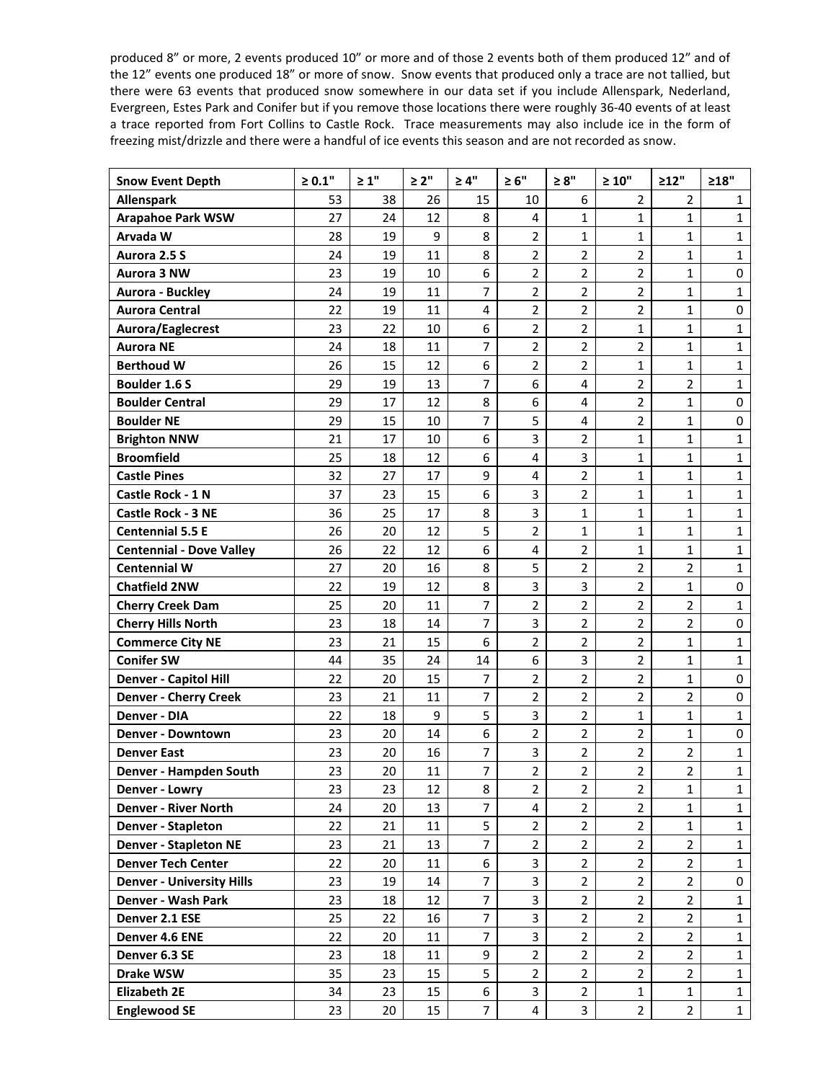produced 8" or more, 2 events produced 10" or more and of those 2 events both of them produced 12" and of the 12" events one produced 18" or more of snow. Snow events that produced only a trace are not tallied, but there were 63 events that produced snow somewhere in our data set if you include Allenspark, Nederland, Evergreen, Estes Park and Conifer but if you remove those locations there were roughly 36-40 events of at least a trace reported from Fort Collins to Castle Rock. Trace measurements may also include ice in the form of freezing mist/drizzle and there were a handful of ice events this season and are not recorded as snow.

| <b>Snow Event Depth</b>          | $\geq 0.1"$ | $\geq 1"$ | $\geq 2"$ | $\geq 4"$      | $\geq 6"$               | $\geq 8"$               | $\geq 10"$     | >12"           | >18"         |
|----------------------------------|-------------|-----------|-----------|----------------|-------------------------|-------------------------|----------------|----------------|--------------|
| Allenspark                       | 53          | 38        | 26        | 15             | 10                      | 6                       | $\overline{2}$ | $\overline{2}$ | $\mathbf{1}$ |
| <b>Arapahoe Park WSW</b>         | 27          | 24        | 12        | 8              | 4                       | $\mathbf{1}$            | $\mathbf{1}$   | 1              | $\mathbf{1}$ |
| Arvada W                         | 28          | 19        | 9         | 8              | $\overline{2}$          | $\mathbf{1}$            | $\mathbf{1}$   | $\mathbf{1}$   | $\mathbf{1}$ |
| Aurora 2.5 S                     | 24          | 19        | 11        | 8              | $\overline{2}$          | $\overline{2}$          | $\overline{2}$ | $\mathbf{1}$   | $\mathbf{1}$ |
| <b>Aurora 3 NW</b>               | 23          | 19        | 10        | 6              | $\overline{2}$          | $\overline{2}$          | $\overline{2}$ | $\mathbf{1}$   | $\pmb{0}$    |
| Aurora - Buckley                 | 24          | 19        | 11        | 7              | $\overline{2}$          | $\overline{2}$          | $\overline{2}$ | 1              | $\mathbf{1}$ |
| <b>Aurora Central</b>            | 22          | 19        | 11        | 4              | $\overline{2}$          | $\overline{2}$          | $\overline{2}$ | $\mathbf{1}$   | 0            |
| Aurora/Eaglecrest                | 23          | 22        | 10        | 6              | $\overline{2}$          | $\overline{2}$          | $\mathbf{1}$   | $\mathbf{1}$   | $\mathbf{1}$ |
| <b>Aurora NE</b>                 | 24          | 18        | 11        | 7              | $\overline{2}$          | $\overline{2}$          | $\overline{2}$ | $\mathbf{1}$   | $\mathbf{1}$ |
| <b>Berthoud W</b>                | 26          | 15        | 12        | 6              | $\overline{2}$          | $\overline{2}$          | $\mathbf{1}$   | 1              | $\mathbf{1}$ |
| <b>Boulder 1.6 S</b>             | 29          | 19        | 13        | 7              | 6                       | $\overline{4}$          | $\overline{2}$ | $\overline{2}$ | $\mathbf{1}$ |
| <b>Boulder Central</b>           | 29          | 17        | 12        | 8              | 6                       | $\overline{4}$          | $\overline{2}$ | $\mathbf{1}$   | $\mathbf 0$  |
| <b>Boulder NE</b>                | 29          | 15        | 10        | 7              | 5                       | $\overline{\mathbf{4}}$ | $\overline{2}$ | $\mathbf{1}$   | $\pmb{0}$    |
| <b>Brighton NNW</b>              | 21          | 17        | 10        | 6              | 3                       | $\overline{2}$          | $\mathbf{1}$   | $\mathbf 1$    | $\mathbf{1}$ |
| <b>Broomfield</b>                | 25          | 18        | 12        | 6              | $\overline{4}$          | 3                       | $\mathbf{1}$   | $\mathbf{1}$   | $\mathbf{1}$ |
| <b>Castle Pines</b>              | 32          | 27        | 17        | 9              | 4                       | $\overline{2}$          | $\mathbf{1}$   | $\mathbf{1}$   | $\mathbf 1$  |
| Castle Rock - 1 N                | 37          | 23        | 15        | 6              | 3                       | $\overline{2}$          | $\mathbf{1}$   | $\mathbf{1}$   | $\mathbf{1}$ |
| <b>Castle Rock - 3 NE</b>        | 36          | 25        | 17        | 8              | 3                       | $\mathbf{1}$            | $\mathbf{1}$   | 1              | $\mathbf{1}$ |
| <b>Centennial 5.5 E</b>          | 26          | 20        | 12        | 5              | $\overline{2}$          | $\mathbf{1}$            | $\mathbf{1}$   | $\mathbf{1}$   | $\mathbf{1}$ |
| <b>Centennial - Dove Valley</b>  | 26          | 22        | 12        | 6              | $\overline{\mathbf{4}}$ | $\overline{2}$          | $\mathbf 1$    | $\mathbf{1}$   | $\mathbf 1$  |
| <b>Centennial W</b>              | 27          | 20        | 16        | 8              | 5                       | $\overline{2}$          | $\overline{2}$ | $\overline{2}$ | $\mathbf{1}$ |
| <b>Chatfield 2NW</b>             | 22          | 19        | 12        | 8              | 3                       | 3                       | $\overline{2}$ | $\mathbf 1$    | $\pmb{0}$    |
| <b>Cherry Creek Dam</b>          | 25          | 20        | 11        | $\overline{7}$ | $\overline{2}$          | $\overline{2}$          | $\overline{2}$ | $\overline{2}$ | $\mathbf{1}$ |
| <b>Cherry Hills North</b>        | 23          | 18        | 14        | 7              | 3                       | $\overline{2}$          | $\overline{2}$ | $\overline{2}$ | $\mathbf 0$  |
| <b>Commerce City NE</b>          | 23          | 21        | 15        | 6              | $\overline{2}$          | $\overline{2}$          | $\overline{2}$ | $\mathbf{1}$   | $\mathbf{1}$ |
| <b>Conifer SW</b>                | 44          | 35        | 24        | 14             | 6                       | 3                       | $\overline{2}$ | 1              | $\mathbf{1}$ |
| <b>Denver - Capitol Hill</b>     | 22          | 20        | 15        | $\overline{7}$ | $\overline{2}$          | $\overline{2}$          | $\overline{2}$ | $\mathbf{1}$   | 0            |
| <b>Denver - Cherry Creek</b>     | 23          | 21        | 11        | 7              | $\overline{2}$          | $\overline{2}$          | $\overline{2}$ | $\overline{2}$ | $\mathbf 0$  |
| Denver - DIA                     | 22          | 18        | 9         | 5              | 3                       | $\overline{2}$          | $\mathbf{1}$   | $\mathbf{1}$   | $\mathbf{1}$ |
| <b>Denver - Downtown</b>         | 23          | 20        | 14        | 6              | $\overline{2}$          | $\overline{2}$          | $\overline{2}$ | 1              | $\pmb{0}$    |
| <b>Denver East</b>               | 23          | 20        | 16        | 7              | 3                       | $\overline{2}$          | $\overline{2}$ | $\overline{2}$ | $\mathbf{1}$ |
| Denver - Hampden South           | 23          | 20        | 11        | 7              | $\overline{2}$          | $\overline{2}$          | $\overline{2}$ | $\overline{2}$ | $\mathbf 1$  |
| Denver - Lowry                   | 23          | 23        | 12        | 8              | $\overline{2}$          | $\overline{2}$          | $\overline{2}$ | $\mathbf{1}$   | $\mathbf{1}$ |
| <b>Denver - River North</b>      | 24          | 20        | 13        | $\overline{7}$ | 4                       | $\overline{2}$          | $\overline{2}$ | $\mathbf 1$    | $\mathbf{1}$ |
| Denver - Stapleton               | 22          | 21        | 11        | 5              | $\overline{2}$          | $\overline{2}$          | $\overline{2}$ | $\mathbf{1}$   | 1            |
| <b>Denver - Stapleton NE</b>     | 23          | 21        | 13        | $\overline{7}$ | $\overline{2}$          | $\overline{2}$          | $\overline{2}$ | $\overline{2}$ | $\mathbf{1}$ |
| <b>Denver Tech Center</b>        | 22          | 20        | 11        | 6              | 3                       | $\overline{2}$          | $\overline{2}$ | $\overline{2}$ | $\mathbf{1}$ |
| <b>Denver - University Hills</b> | 23          | 19        | 14        | $\overline{7}$ | 3                       | $\overline{2}$          | $\overline{2}$ | $\overline{2}$ | 0            |
| Denver - Wash Park               | 23          | 18        | 12        | $\overline{7}$ | 3                       | $\overline{2}$          | $\overline{2}$ | $\overline{2}$ | $\mathbf{1}$ |
| Denver 2.1 ESE                   | 25          | 22        | 16        | $\overline{7}$ | 3                       | $\overline{2}$          | $\overline{2}$ | $\overline{2}$ | $\mathbf{1}$ |
| Denver 4.6 ENE                   | 22          | 20        | 11        | $\overline{7}$ | 3                       | $\overline{2}$          | $\overline{2}$ | $\overline{2}$ | $\mathbf{1}$ |
| Denver 6.3 SE                    | 23          | 18        | 11        | 9              | $\overline{2}$          | $\overline{2}$          | $\overline{2}$ | $\overline{2}$ | $\mathbf{1}$ |
| Drake WSW                        | 35          | 23        | 15        | 5              | $\overline{2}$          | $\overline{2}$          | $\overline{2}$ | $\overline{2}$ | $\mathbf{1}$ |
| <b>Elizabeth 2E</b>              | 34          | 23        | 15        | 6              | 3                       | $\overline{2}$          | $\mathbf{1}$   | $\mathbf{1}$   | $\mathbf{1}$ |
| <b>Englewood SE</b>              | 23          | 20        | 15        | $\overline{7}$ | 4                       | 3                       | $\overline{2}$ | $\overline{2}$ | $\mathbf{1}$ |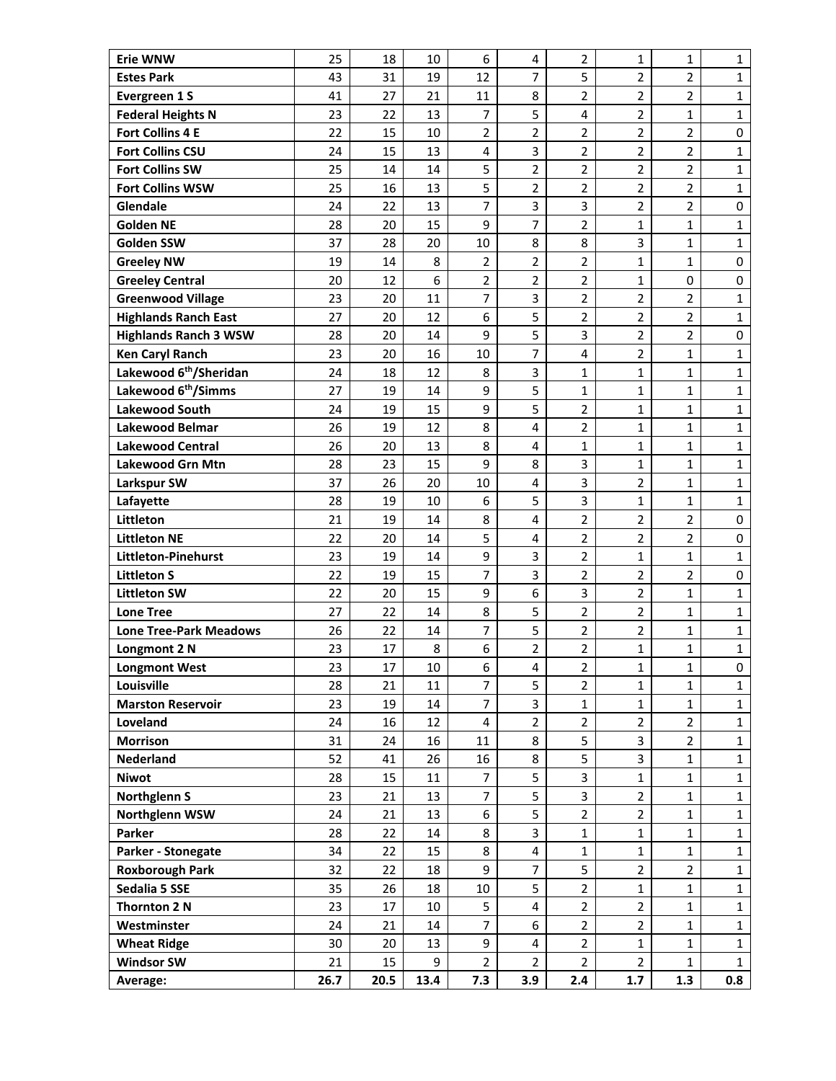| <b>Erie WNW</b>                                   | 25       | 18       | 10       | 6              | $\overline{\mathbf{4}}$      | $\overline{2}$                   | $\mathbf{1}$                     | 1                   | $\mathbf{1}$ |
|---------------------------------------------------|----------|----------|----------|----------------|------------------------------|----------------------------------|----------------------------------|---------------------|--------------|
| <b>Estes Park</b>                                 | 43       | 31       | 19       | 12             | $\overline{7}$               | 5                                | $\overline{2}$                   | 2                   | $\mathbf{1}$ |
| Evergreen 1 S                                     | 41       | 27       | 21       | 11             | 8                            | $\overline{2}$                   | $\overline{2}$                   | $\overline{2}$      | $\mathbf{1}$ |
| <b>Federal Heights N</b>                          | 23       | 22       | 13       | 7              | 5                            | $\overline{\mathbf{4}}$          | $\overline{2}$                   | $\mathbf{1}$        | $\mathbf{1}$ |
| <b>Fort Collins 4 E</b>                           | 22       | 15       | 10       | $\overline{2}$ | $\overline{2}$               | $\overline{2}$                   | $\overline{2}$                   | $\overline{2}$      | 0            |
| <b>Fort Collins CSU</b>                           | 24       | 15       | 13       | 4              | 3                            | $\overline{2}$                   | $\overline{2}$                   | 2                   | $\mathbf{1}$ |
| <b>Fort Collins SW</b>                            | 25       | 14       | 14       | 5              | $\overline{c}$               | $\overline{2}$                   | $\overline{2}$                   | $\overline{2}$      | $\mathbf{1}$ |
| <b>Fort Collins WSW</b>                           | 25       | 16       | 13       | 5              | $\overline{2}$               | $\overline{2}$                   | $\overline{2}$                   | $\overline{2}$      | $\mathbf{1}$ |
| Glendale                                          | 24       | 22       | 13       | $\overline{7}$ | $\mathsf{3}$                 | 3                                | $\overline{2}$                   | $\overline{2}$      | 0            |
| <b>Golden NE</b>                                  | 28       | 20       | 15       | 9              | $\overline{7}$               | $\overline{2}$                   | $\mathbf{1}$                     | 1                   | $\mathbf{1}$ |
| <b>Golden SSW</b>                                 | 37       | 28       | 20       | 10             | 8                            | 8                                | 3                                | $\mathbf{1}$        | $\mathbf{1}$ |
| <b>Greeley NW</b>                                 | 19       | 14       | 8        | 2              | $\overline{2}$               | $\overline{2}$                   | $\mathbf{1}$                     | $\mathbf{1}$        | 0            |
| <b>Greeley Central</b>                            | 20       | 12       | 6        | 2              | $\overline{2}$               | $\overline{2}$                   | $\mathbf{1}$                     | 0                   | 0            |
| <b>Greenwood Village</b>                          | 23       | 20       | 11       | 7              | 3                            | $\overline{2}$                   | $\overline{2}$                   | 2                   | $\mathbf{1}$ |
| <b>Highlands Ranch East</b>                       | 27       | 20       | 12       | 6              | 5                            | $\overline{2}$                   | $\overline{2}$                   | $\overline{2}$      | $\mathbf{1}$ |
| <b>Highlands Ranch 3 WSW</b>                      | 28       | 20       | 14       | 9              | 5                            | 3                                | $\overline{2}$                   | 2                   | $\pmb{0}$    |
| <b>Ken Caryl Ranch</b>                            | 23       | 20       | 16       | 10             | 7                            | 4                                | $\overline{2}$                   | $\mathbf{1}$        | $\mathbf{1}$ |
| Lakewood 6 <sup>th</sup> /Sheridan                | 24       | 18       | 12       | 8              | 3                            | $\mathbf{1}$                     | $\mathbf{1}$                     | 1                   | $\mathbf{1}$ |
| Lakewood 6 <sup>th</sup> /Simms                   | 27       | 19       | 14       | 9              | 5                            | $\mathbf{1}$                     | $\mathbf{1}$                     | $\mathbf{1}$        | $\mathbf{1}$ |
| <b>Lakewood South</b>                             | 24       | 19       | 15       | 9              | 5                            | $\overline{2}$                   | $\mathbf{1}$                     | $\mathbf{1}$        | $\mathbf{1}$ |
| Lakewood Belmar                                   | 26       | 19       | 12       | 8              | $\overline{\mathbf{4}}$      | $\overline{2}$                   | $\mathbf{1}$                     | $\mathbf{1}$        | $\mathbf{1}$ |
| <b>Lakewood Central</b>                           | 26       | 20       | 13       | 8              | $\overline{4}$               | $\mathbf{1}$                     | $\mathbf{1}$                     | 1                   | $\mathbf{1}$ |
| <b>Lakewood Grn Mtn</b>                           | 28       | 23       | 15       | 9              | 8                            | 3                                | $\mathbf{1}$                     | $\mathbf{1}$        | $\mathbf{1}$ |
| <b>Larkspur SW</b>                                | 37       | 26       | 20       | 10             | 4                            | 3                                | $\overline{2}$                   | $\mathbf{1}$        | $\mathbf{1}$ |
| Lafayette                                         | 28       | 19       | 10       | 6              | 5                            | 3                                | $\mathbf{1}$                     | $\mathbf{1}$        | $\mathbf{1}$ |
| Littleton                                         | 21       | 19       | 14<br>14 | 8<br>5         | 4<br>$\overline{\mathbf{4}}$ | $\overline{2}$<br>$\overline{2}$ | $\overline{2}$<br>$\overline{2}$ | 2<br>$\overline{2}$ | 0<br>0       |
| <b>Littleton NE</b><br><b>Littleton-Pinehurst</b> | 22<br>23 | 20<br>19 | 14       | 9              | $\overline{3}$               | $\overline{2}$                   | $\mathbf{1}$                     | $\mathbf{1}$        | $\mathbf{1}$ |
| <b>Littleton S</b>                                | 22       | 19       | 15       | 7              | $\mathsf{3}$                 | $\overline{2}$                   | $\overline{2}$                   | $\overline{2}$      | 0            |
| <b>Littleton SW</b>                               | 22       | 20       | 15       | 9              | 6                            | 3                                | $\overline{2}$                   | 1                   | $\mathbf{1}$ |
| <b>Lone Tree</b>                                  | 27       | 22       | 14       | 8              | 5                            | $\overline{2}$                   | $\overline{2}$                   | $\mathbf{1}$        | $\mathbf{1}$ |
| <b>Lone Tree-Park Meadows</b>                     | 26       | 22       | 14       | 7              | 5                            | $\overline{2}$                   | $\overline{2}$                   | 1                   | $\mathbf 1$  |
| Longmont 2 N                                      | 23       | 17       | 8        | 6              | $\overline{2}$               | $\overline{2}$                   | $\mathbf{1}$                     | $\mathbf{1}$        | $\mathbf{1}$ |
| <b>Longmont West</b>                              | 23       | 17       | 10       | 6              | 4                            | $\overline{2}$                   | $\mathbf{1}$                     | $\mathbf{1}$        | 0            |
| Louisville                                        | 28       | 21       | 11       | 7              | 5                            | $\overline{2}$                   | $\mathbf{1}$                     | $\mathbf{1}$        | $\mathbf{1}$ |
| <b>Marston Reservoir</b>                          | 23       | 19       | 14       | $\overline{7}$ | $\overline{3}$               | $\mathbf{1}$                     | $\mathbf{1}$                     | $\mathbf{1}$        | $\mathbf{1}$ |
| Loveland                                          | 24       | 16       | 12       | $\overline{4}$ | $\overline{2}$               | $\overline{2}$                   | $\overline{2}$                   | $\overline{2}$      | $\mathbf 1$  |
| <b>Morrison</b>                                   | 31       | 24       | 16       | 11             | 8                            | 5                                | 3                                | $\overline{2}$      | $\mathbf{1}$ |
| Nederland                                         | 52       | 41       | 26       | 16             | 8                            | 5                                | 3                                | $\mathbf{1}$        | $\mathbf{1}$ |
| <b>Niwot</b>                                      | 28       | 15       | 11       | 7              | 5                            | $\overline{\mathbf{3}}$          | $\mathbf{1}$                     | $\mathbf{1}$        | $\mathbf 1$  |
| <b>Northglenn S</b>                               | 23       | 21       | 13       | $\overline{7}$ | 5                            | 3                                | $\overline{2}$                   | $\mathbf{1}$        | $\mathbf{1}$ |
| Northglenn WSW                                    | 24       | 21       | 13       | 6              | 5                            | $\overline{2}$                   | $\overline{2}$                   | $\mathbf{1}$        | $\mathbf{1}$ |
| Parker                                            | 28       | 22       | 14       | 8              | 3                            | $\mathbf{1}$                     | $\mathbf{1}$                     | $\mathbf{1}$        | $\mathbf{1}$ |
| Parker - Stonegate                                | 34       | 22       | 15       | 8              | 4                            | $\mathbf{1}$                     | $\mathbf{1}$                     | $\mathbf{1}$        | $\mathbf 1$  |
| <b>Roxborough Park</b>                            | 32       | 22       | 18       | 9              | $\overline{7}$               | 5                                | $\overline{2}$                   | $\overline{2}$      | $\mathbf{1}$ |
| Sedalia 5 SSE                                     | 35       | 26       | 18       | $10\,$         | 5                            | $\overline{2}$                   | $\mathbf{1}$                     | $\mathbf{1}$        | $\mathbf{1}$ |
| Thornton 2 N                                      | 23       | 17       | 10       | 5              | $\overline{4}$               | $\overline{2}$                   | $\overline{2}$                   | $\mathbf{1}$        | $\mathbf{1}$ |
| Westminster                                       | 24       | 21       | 14       | $\overline{7}$ | 6                            | $\overline{2}$                   | $\overline{2}$                   | $\mathbf{1}$        | $\mathbf 1$  |
| <b>Wheat Ridge</b>                                | 30       | 20       | 13       | 9              | 4                            | $\overline{2}$                   | $\mathbf{1}$                     | $\mathbf{1}$        | $\mathbf 1$  |
| <b>Windsor SW</b>                                 | 21       | 15       | 9        | $\overline{2}$ | $\overline{2}$               | $\overline{2}$                   | $\overline{2}$                   | $\mathbf{1}$        | $\mathbf{1}$ |
| Average:                                          | 26.7     | 20.5     | 13.4     | 7.3            | 3.9                          | 2.4                              | 1.7                              | 1.3                 | 0.8          |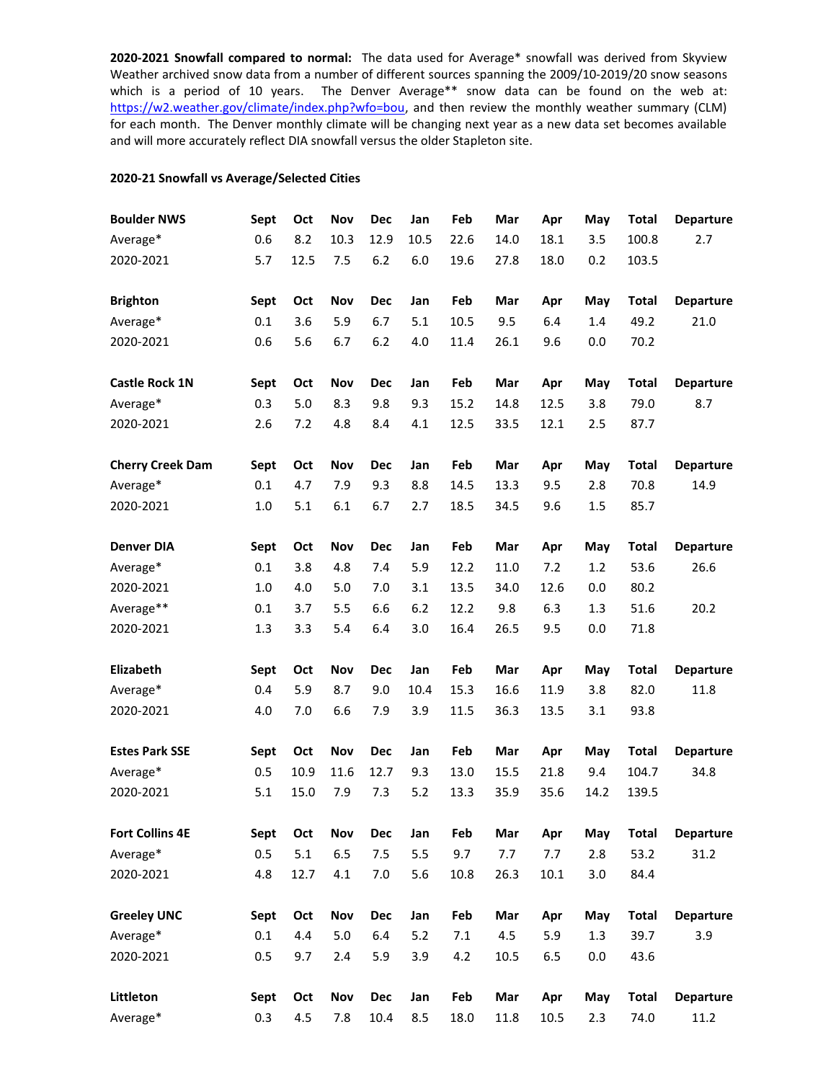**2020-2021 Snowfall compared to normal:** The data used for Average\* snowfall was derived from Skyview Weather archived snow data from a number of different sources spanning the 2009/10-2019/20 snow seasons which is a period of 10 years. The Denver Average\*\* snow data can be found on the web at: [https://w2.weather.gov/climate/index.php?wfo=bou,](https://w2.weather.gov/climate/index.php?wfo=bou) and then review the monthly weather summary (CLM) for each month. The Denver monthly climate will be changing next year as a new data set becomes available and will more accurately reflect DIA snowfall versus the older Stapleton site.

## **2020-21 Snowfall vs Average/Selected Cities**

| <b>Boulder NWS</b>      | Sept | Oct  | Nov     | <b>Dec</b> | Jan  | Feb  | Mar  | Apr  | May  | <b>Total</b> | <b>Departure</b> |
|-------------------------|------|------|---------|------------|------|------|------|------|------|--------------|------------------|
| Average*                | 0.6  | 8.2  | 10.3    | 12.9       | 10.5 | 22.6 | 14.0 | 18.1 | 3.5  | 100.8        | 2.7              |
| 2020-2021               | 5.7  | 12.5 | 7.5     | 6.2        | 6.0  | 19.6 | 27.8 | 18.0 | 0.2  | 103.5        |                  |
| <b>Brighton</b>         | Sept | Oct  | Nov     | <b>Dec</b> | Jan  | Feb  | Mar  | Apr  | May  | <b>Total</b> | <b>Departure</b> |
| Average*                | 0.1  | 3.6  | 5.9     | 6.7        | 5.1  | 10.5 | 9.5  | 6.4  | 1.4  | 49.2         | 21.0             |
| 2020-2021               | 0.6  | 5.6  | 6.7     | 6.2        | 4.0  | 11.4 | 26.1 | 9.6  | 0.0  | 70.2         |                  |
| <b>Castle Rock 1N</b>   | Sept | Oct  | Nov     | <b>Dec</b> | Jan  | Feb  | Mar  | Apr  | May  | <b>Total</b> | <b>Departure</b> |
| Average*                | 0.3  | 5.0  | 8.3     | 9.8        | 9.3  | 15.2 | 14.8 | 12.5 | 3.8  | 79.0         | 8.7              |
| 2020-2021               | 2.6  | 7.2  | 4.8     | 8.4        | 4.1  | 12.5 | 33.5 | 12.1 | 2.5  | 87.7         |                  |
| <b>Cherry Creek Dam</b> | Sept | Oct  | Nov     | <b>Dec</b> | Jan  | Feb  | Mar  | Apr  | May  | <b>Total</b> | <b>Departure</b> |
| Average*                | 0.1  | 4.7  | 7.9     | 9.3        | 8.8  | 14.5 | 13.3 | 9.5  | 2.8  | 70.8         | 14.9             |
| 2020-2021               | 1.0  | 5.1  | 6.1     | 6.7        | 2.7  | 18.5 | 34.5 | 9.6  | 1.5  | 85.7         |                  |
| <b>Denver DIA</b>       | Sept | Oct  | Nov     | Dec        | Jan  | Feb  | Mar  | Apr  | May  | <b>Total</b> | <b>Departure</b> |
| Average*                | 0.1  | 3.8  | 4.8     | 7.4        | 5.9  | 12.2 | 11.0 | 7.2  | 1.2  | 53.6         | 26.6             |
| 2020-2021               | 1.0  | 4.0  | 5.0     | 7.0        | 3.1  | 13.5 | 34.0 | 12.6 | 0.0  | 80.2         |                  |
| Average**               | 0.1  | 3.7  | 5.5     | 6.6        | 6.2  | 12.2 | 9.8  | 6.3  | 1.3  | 51.6         | 20.2             |
| 2020-2021               | 1.3  | 3.3  | 5.4     | 6.4        | 3.0  | 16.4 | 26.5 | 9.5  | 0.0  | 71.8         |                  |
| Elizabeth               | Sept | Oct  | Nov     | Dec        | Jan  | Feb  | Mar  | Apr  | May  | <b>Total</b> | <b>Departure</b> |
| Average*                | 0.4  | 5.9  | 8.7     | 9.0        | 10.4 | 15.3 | 16.6 | 11.9 | 3.8  | 82.0         | 11.8             |
| 2020-2021               | 4.0  | 7.0  | 6.6     | 7.9        | 3.9  | 11.5 | 36.3 | 13.5 | 3.1  | 93.8         |                  |
| <b>Estes Park SSE</b>   | Sept | Oct  | Nov     | <b>Dec</b> | Jan  | Feb  | Mar  | Apr  | May  | <b>Total</b> | <b>Departure</b> |
| Average*                | 0.5  | 10.9 | 11.6    | 12.7       | 9.3  | 13.0 | 15.5 | 21.8 | 9.4  | 104.7        | 34.8             |
| 2020-2021               | 5.1  | 15.0 | 7.9     | 7.3        | 5.2  | 13.3 | 35.9 | 35.6 | 14.2 | 139.5        |                  |
| <b>Fort Collins 4E</b>  | Sept | Oct  | Nov     | Dec        | Jan  | Feb  | Mar  | Apr  | May  | <b>Total</b> | <b>Departure</b> |
| Average*                | 0.5  | 5.1  | 6.5     | 7.5        | 5.5  | 9.7  | 7.7  | 7.7  | 2.8  | 53.2         | 31.2             |
| 2020-2021               | 4.8  | 12.7 | 4.1     | 7.0        | 5.6  | 10.8 | 26.3 | 10.1 | 3.0  | 84.4         |                  |
| <b>Greeley UNC</b>      | Sept | Oct  | Nov     | Dec        | Jan  | Feb  | Mar  | Apr  | May  | <b>Total</b> | <b>Departure</b> |
| Average*                | 0.1  | 4.4  | $5.0\,$ | 6.4        | 5.2  | 7.1  | 4.5  | 5.9  | 1.3  | 39.7         | 3.9              |
| 2020-2021               | 0.5  | 9.7  | 2.4     | 5.9        | 3.9  | 4.2  | 10.5 | 6.5  | 0.0  | 43.6         |                  |
| Littleton               | Sept | Oct  | Nov     | Dec        | Jan  | Feb  | Mar  | Apr  | May  | <b>Total</b> | <b>Departure</b> |
| Average*                | 0.3  | 4.5  | 7.8     | 10.4       | 8.5  | 18.0 | 11.8 | 10.5 | 2.3  | 74.0         | 11.2             |